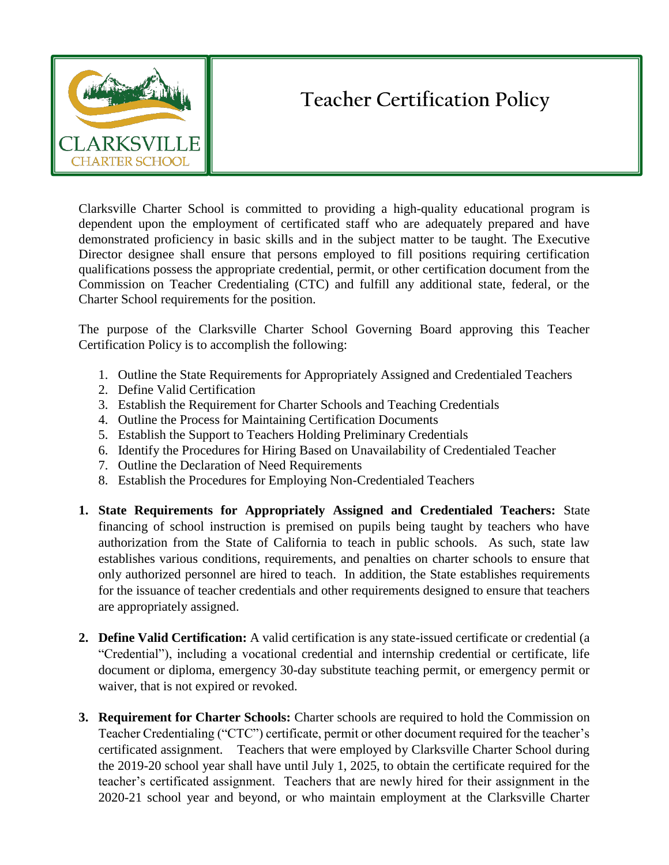

## **Teacher Certification Policy**

Clarksville Charter School is committed to providing a high-quality educational program is dependent upon the employment of certificated staff who are adequately prepared and have demonstrated proficiency in basic skills and in the subject matter to be taught. The Executive Director designee shall ensure that persons employed to fill positions requiring certification qualifications possess the appropriate credential, permit, or other certification document from the Commission on Teacher Credentialing (CTC) and fulfill any additional state, federal, or the Charter School requirements for the position.

The purpose of the Clarksville Charter School Governing Board approving this Teacher Certification Policy is to accomplish the following:

- 1. Outline the State Requirements for Appropriately Assigned and Credentialed Teachers
- 2. Define Valid Certification
- 3. Establish the Requirement for Charter Schools and Teaching Credentials
- 4. Outline the Process for Maintaining Certification Documents
- 5. Establish the Support to Teachers Holding Preliminary Credentials
- 6. Identify the Procedures for Hiring Based on Unavailability of Credentialed Teacher
- 7. Outline the Declaration of Need Requirements
- 8. Establish the Procedures for Employing Non-Credentialed Teachers
- **1. State Requirements for Appropriately Assigned and Credentialed Teachers:** State financing of school instruction is premised on pupils being taught by teachers who have authorization from the State of California to teach in public schools. As such, state law establishes various conditions, requirements, and penalties on charter schools to ensure that only authorized personnel are hired to teach. In addition, the State establishes requirements for the issuance of teacher credentials and other requirements designed to ensure that teachers are appropriately assigned.
- **2. Define Valid Certification:** A valid certification is any state-issued certificate or credential (a "Credential"), including a vocational credential and internship credential or certificate, life document or diploma, emergency 30-day substitute teaching permit, or emergency permit or waiver, that is not expired or revoked.
- **3. Requirement for Charter Schools:** Charter schools are required to hold the Commission on Teacher Credentialing ("CTC") certificate, permit or other document required for the teacher's certificated assignment. Teachers that were employed by Clarksville Charter School during the 2019-20 school year shall have until July 1, 2025, to obtain the certificate required for the teacher's certificated assignment. Teachers that are newly hired for their assignment in the 2020-21 school year and beyond, or who maintain employment at the Clarksville Charter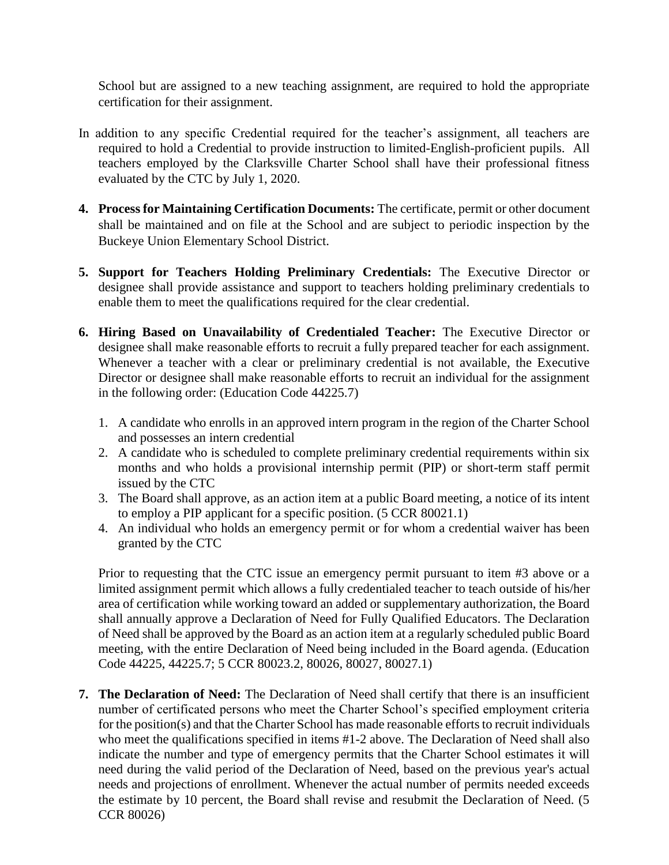School but are assigned to a new teaching assignment, are required to hold the appropriate certification for their assignment.

- In addition to any specific Credential required for the teacher's assignment, all teachers are required to hold a Credential to provide instruction to limited-English-proficient pupils. All teachers employed by the Clarksville Charter School shall have their professional fitness evaluated by the CTC by July 1, 2020.
- **4. Process for Maintaining Certification Documents:** The certificate, permit or other document shall be maintained and on file at the School and are subject to periodic inspection by the Buckeye Union Elementary School District.
- **5. Support for Teachers Holding Preliminary Credentials:** The Executive Director or designee shall provide assistance and support to teachers holding preliminary credentials to enable them to meet the qualifications required for the clear credential.
- **6. Hiring Based on Unavailability of Credentialed Teacher:** The Executive Director or designee shall make reasonable efforts to recruit a fully prepared teacher for each assignment. Whenever a teacher with a clear or preliminary credential is not available, the Executive Director or designee shall make reasonable efforts to recruit an individual for the assignment in the following order: (Education Code 44225.7)
	- 1. A candidate who enrolls in an approved intern program in the region of the Charter School and possesses an intern credential
	- 2. A candidate who is scheduled to complete preliminary credential requirements within six months and who holds a provisional internship permit (PIP) or short-term staff permit issued by the CTC
	- 3. The Board shall approve, as an action item at a public Board meeting, a notice of its intent to employ a PIP applicant for a specific position. (5 CCR 80021.1)
	- 4. An individual who holds an emergency permit or for whom a credential waiver has been granted by the CTC

Prior to requesting that the CTC issue an emergency permit pursuant to item #3 above or a limited assignment permit which allows a fully credentialed teacher to teach outside of his/her area of certification while working toward an added or supplementary authorization, the Board shall annually approve a Declaration of Need for Fully Qualified Educators. The Declaration of Need shall be approved by the Board as an action item at a regularly scheduled public Board meeting, with the entire Declaration of Need being included in the Board agenda. (Education Code 44225, 44225.7; 5 CCR 80023.2, 80026, 80027, 80027.1)

**7. The Declaration of Need:** The Declaration of Need shall certify that there is an insufficient number of certificated persons who meet the Charter School's specified employment criteria for the position(s) and that the Charter School has made reasonable efforts to recruit individuals who meet the qualifications specified in items #1-2 above. The Declaration of Need shall also indicate the number and type of emergency permits that the Charter School estimates it will need during the valid period of the Declaration of Need, based on the previous year's actual needs and projections of enrollment. Whenever the actual number of permits needed exceeds the estimate by 10 percent, the Board shall revise and resubmit the Declaration of Need. (5 CCR 80026)